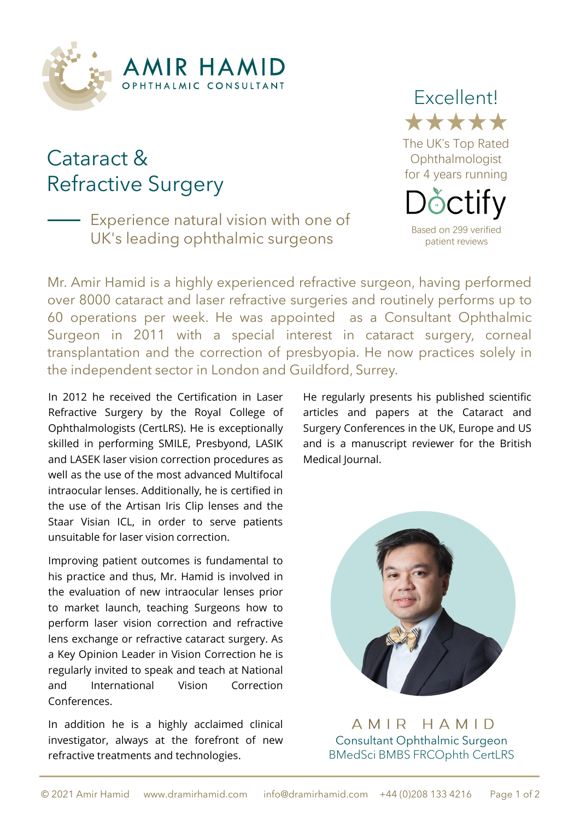

# Cataract & Refractive Surgery

Experience natural vision with one of UK's leading ophthalmic surgeons



Mr. Amir Hamid is a highly experienced refractive surgeon, having performed over 8000 cataract and laser refractive surgeries and routinely performs up to 60 operations per week. He was appointed as a Consultant Ophthalmic Surgeon in 2011 with a special interest in cataract surgery, corneal transplantation and the correction of presbyopia. He now practices solely in the independent sector in London and Guildford, Surrey.

In 2012 he received the Certification in Laser Refractive Surgery by the Royal College of Ophthalmologists (CertLRS). He is exceptionally skilled in performing SMILE, Presbyond, LASIK and LASEK laser vision correction procedures as well as the use of the most advanced Multifocal intraocular lenses. Additionally, he is certified in the use of the Artisan Iris Clip lenses and the Staar Visian ICL, in order to serve patients unsuitable for laser vision correction.

Improving patient outcomes is fundamental to his practice and thus, Mr. Hamid is involved in the evaluation of new intraocular lenses prior to market launch, teaching Surgeons how to perform laser vision correction and refractive lens exchange or refractive cataract surgery. As a Key Opinion Leader in Vision Correction he is regularly invited to speak and teach at National and International Vision Correction Conferences.

In addition he is a highly acclaimed clinical investigator, always at the forefront of new refractive treatments and technologies.

He regularly presents his published scientific articles and papers at the Cataract and Surgery Conferences in the UK, Europe and US and is a manuscript reviewer for the British Medical Journal.



AMIR HAMID Consultant Ophthalmic Surgeon BMedSci BMBS FRCOphth CertLRS